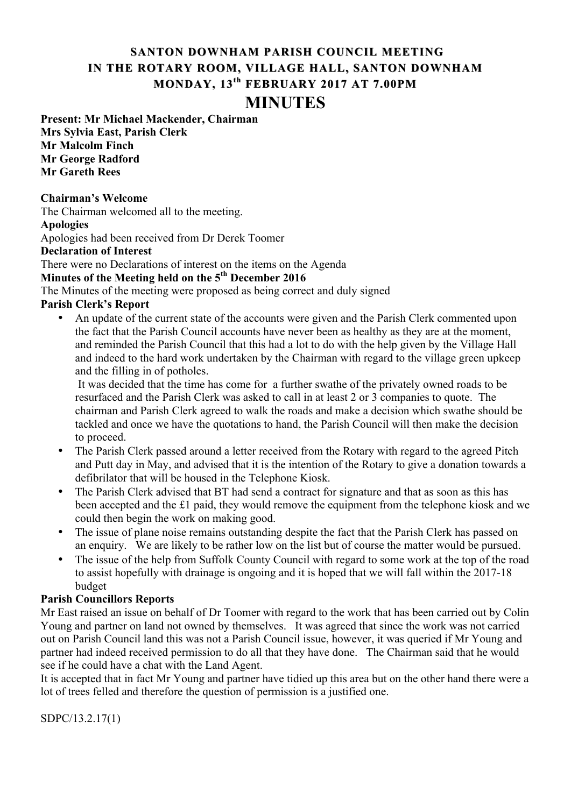## **SANTON DOWNHAM PARISH COUNCIL MEETING IN THE ROTARY ROOM, VILLAGE HALL, SANTON DOWNHAM MONDAY, MONDAY, 13th FEBRUARY 2017 AT 7.00PM MINUTES**

**Present: Mr Michael Mackender, Chairman Mrs Sylvia East, Parish Clerk Mr Malcolm Finch Mr George Radford Mr Gareth Rees**

### **Chairman's Welcome**

The Chairman welcomed all to the meeting.

### **Apologies**

Apologies had been received from Dr Derek Toomer

### **Declaration of Interest**

There were no Declarations of interest on the items on the Agenda

# **Minutes of the Meeting held on the 5th December 2016**

The Minutes of the meeting were proposed as being correct and duly signed

## **Parish Clerk's Report**

• An update of the current state of the accounts were given and the Parish Clerk commented upon the fact that the Parish Council accounts have never been as healthy as they are at the moment, and reminded the Parish Council that this had a lot to do with the help given by the Village Hall and indeed to the hard work undertaken by the Chairman with regard to the village green upkeep and the filling in of potholes.

It was decided that the time has come for a further swathe of the privately owned roads to be resurfaced and the Parish Clerk was asked to call in at least 2 or 3 companies to quote. The chairman and Parish Clerk agreed to walk the roads and make a decision which swathe should be tackled and once we have the quotations to hand, the Parish Council will then make the decision to proceed.

- The Parish Clerk passed around a letter received from the Rotary with regard to the agreed Pitch and Putt day in May, and advised that it is the intention of the Rotary to give a donation towards a defibrilator that will be housed in the Telephone Kiosk.
- The Parish Clerk advised that BT had send a contract for signature and that as soon as this has been accepted and the £1 paid, they would remove the equipment from the telephone kiosk and we could then begin the work on making good.
- The issue of plane noise remains outstanding despite the fact that the Parish Clerk has passed on an enquiry. We are likely to be rather low on the list but of course the matter would be pursued.
- The issue of the help from Suffolk County Council with regard to some work at the top of the road to assist hopefully with drainage is ongoing and it is hoped that we will fall within the 2017-18 budget

### **Parish Councillors Reports**

Mr East raised an issue on behalf of Dr Toomer with regard to the work that has been carried out by Colin Young and partner on land not owned by themselves. It was agreed that since the work was not carried out on Parish Council land this was not a Parish Council issue, however, it was queried if Mr Young and partner had indeed received permission to do all that they have done. The Chairman said that he would see if he could have a chat with the Land Agent.

It is accepted that in fact Mr Young and partner have tidied up this area but on the other hand there were a lot of trees felled and therefore the question of permission is a justified one.

SDPC/13.2.17(1)